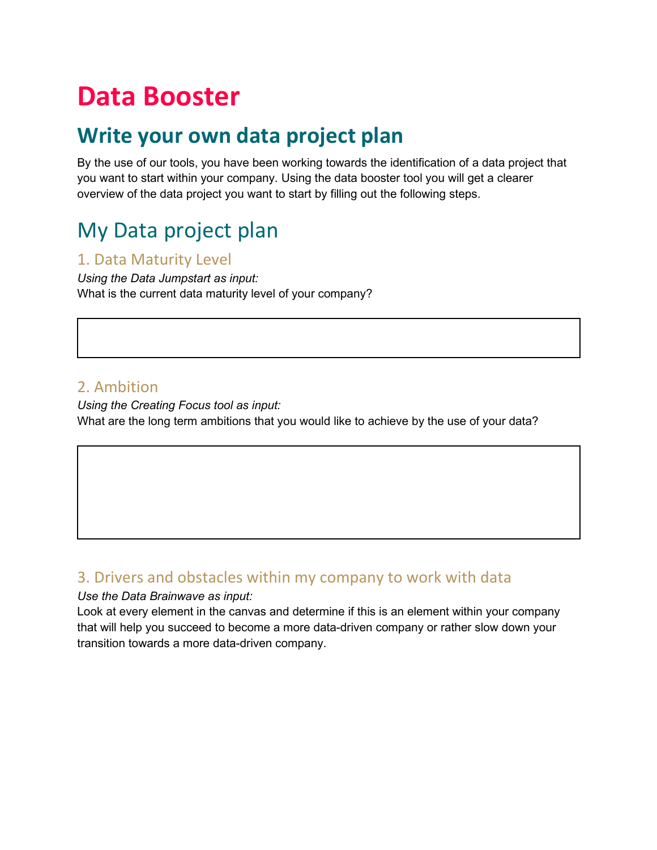# **Data Booster**

## **Write your own data project plan**

By the use of our tools, you have been working towards the identification of a data project that you want to start within your company. Using the data booster tool you will get a clearer overview of the data project you want to start by filling out the following steps.

# My Data project plan

#### 1. Data Maturity Level

*Using the Data Jumpstart as input:* What is the current data maturity level of your company?

#### 2. Ambition

*Using the Creating Focus tool as input:* What are the long term ambitions that you would like to achieve by the use of your data?

#### 3. Drivers and obstacles within my company to work with data

#### *Use the Data Brainwave as input:*

Look at every element in the canvas and determine if this is an element within your company that will help you succeed to become a more data-driven company or rather slow down your transition towards a more data-driven company.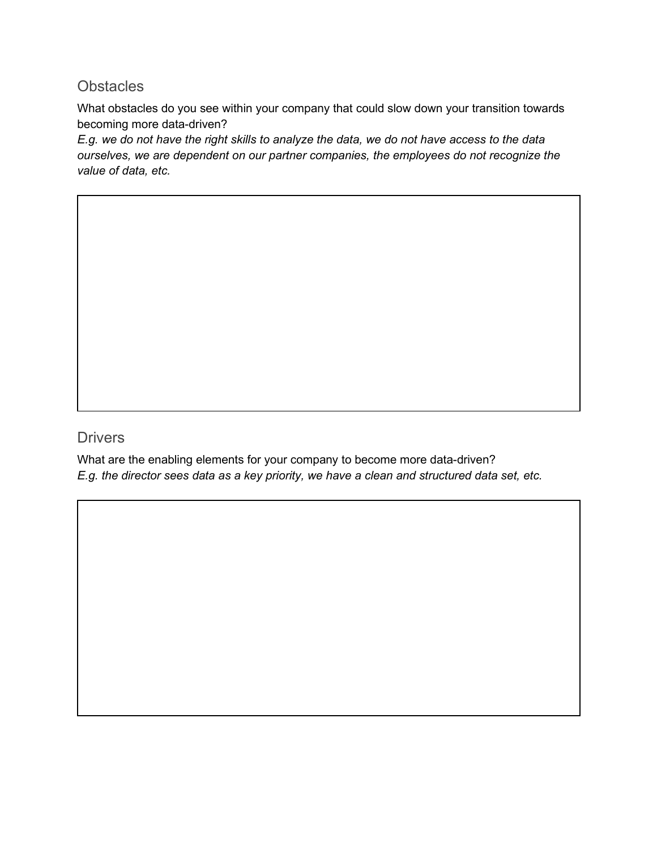#### **Obstacles**

What obstacles do you see within your company that could slow down your transition towards becoming more data-driven?

*E.g. we do not have the right skills to analyze the data, we do not have access to the data ourselves, we are dependent on our partner companies, the employees do not recognize the value of data, etc.* 

#### **Drivers**

What are the enabling elements for your company to become more data-driven? *E.g. the director sees data as a key priority, we have a clean and structured data set, etc.*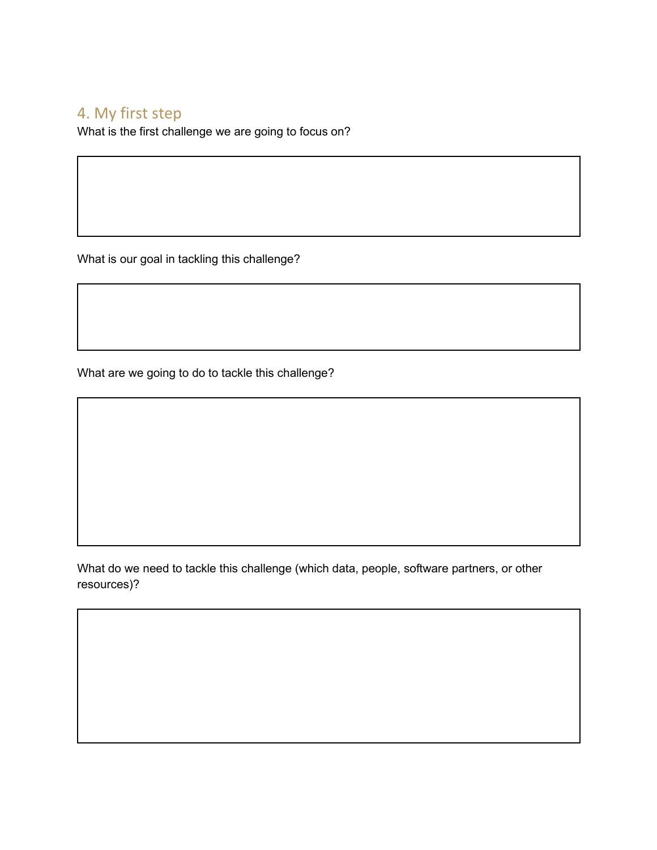#### 4. My first step

What is the first challenge we are going to focus on?

What is our goal in tackling this challenge?

What are we going to do to tackle this challenge?

What do we need to tackle this challenge (which data, people, software partners, or other resources)?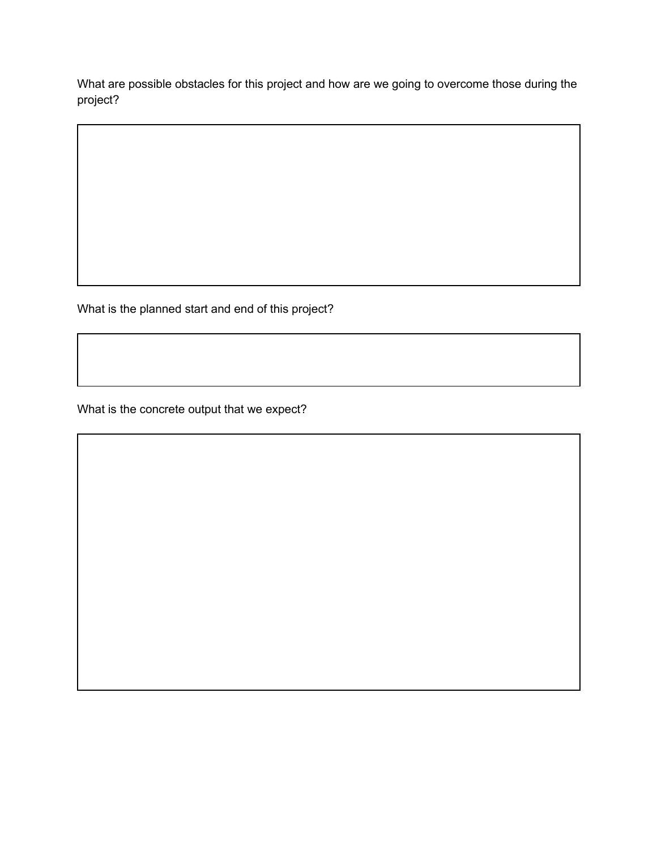What are possible obstacles for this project and how are we going to overcome those during the project?

What is the planned start and end of this project?

What is the concrete output that we expect?